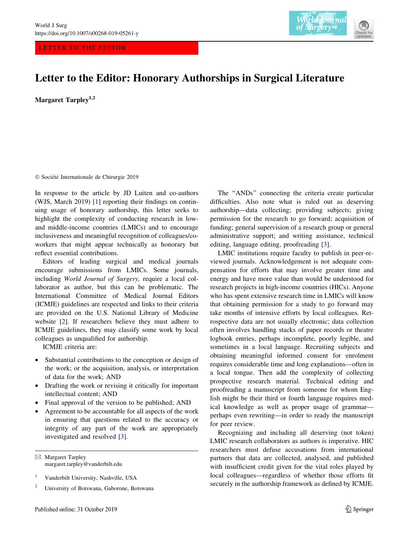## LETTER TO THE EDITOR



## Letter to the Editor: Honorary Authorships in Surgical Literature

Margaret Tarpley<sup>1,2</sup>

 $© Société Internationale de Chirurgie 2019$ 

In response to the article by JD Luiten and co-authors (WJS, March 2019) [\[1](#page-1-0)] reporting their findings on continuing usage of honorary authorship, this letter seeks to highlight the complexity of conducting research in lowand middle-income countries (LMICs) and to encourage inclusiveness and meaningful recognition of colleagues/coworkers that might appear technically as honorary but reflect essential contributions.

Editors of leading surgical and medical journals encourage submissions from LMICs. Some journals, including World Journal of Surgery, require a local collaborator as author, but this can be problematic. The International Committee of Medical Journal Editors (ICMJE) guidelines are respected and links to their criteria are provided on the U.S. National Library of Medicine website [\[2](#page-1-0)]. If researchers believe they must adhere to ICMJE guidelines, they may classify some work by local colleagues as unqualified for authorship.

ICMJE criteria are:

- Substantial contributions to the conception or design of the work; or the acquisition, analysis, or interpretation of data for the work; AND
- Drafting the work or revising it critically for important intellectual content; AND
- Final approval of the version to be published; AND
- Agreement to be accountable for all aspects of the work in ensuring that questions related to the accuracy or integrity of any part of the work are appropriately investigated and resolved [[3\]](#page-1-0).

- <sup>1</sup> Vanderbilt University, Nashville, USA
- <sup>2</sup> University of Botswana, Gaborone, Botswana

The ''ANDs'' connecting the criteria create particular difficulties. Also note what is ruled out as deserving authorship—data collecting; providing subjects; giving permission for the research to go forward; acquisition of funding; general supervision of a research group or general administrative support; and writing assistance, technical editing, language editing, proofreading [\[3](#page-1-0)].

LMIC institutions require faculty to publish in peer-reviewed journals. Acknowledgement is not adequate compensation for efforts that may involve greater time and energy and have more value than would be understood for research projects in high-income countries (HICs). Anyone who has spent extensive research time in LMICs will know that obtaining permission for a study to go forward may take months of intensive efforts by local colleagues. Retrospective data are not usually electronic; data collection often involves handling stacks of paper records or theatre logbook entries, perhaps incomplete, poorly legible, and sometimes in a local language. Recruiting subjects and obtaining meaningful informed consent for enrolment requires considerable time and long explanations—often in a local tongue. Then add the complexity of collecting prospective research material. Technical editing and proofreading a manuscript from someone for whom English might be their third or fourth language requires medical knowledge as well as proper usage of grammar perhaps even rewriting—in order to ready the manuscript for peer review.

Recognizing and including all deserving (not token) LMIC research collaborators as authors is imperative. HIC researchers must defuse accusations from international partners that data are collected, analysed, and published with insufficient credit given for the vital roles played by local colleagues—regardless of whether those efforts fit securely in the authorship framework as defined by ICMJE.

 $\boxtimes$  Margaret Tarpley margaret.tarpley@vanderbilt.edu